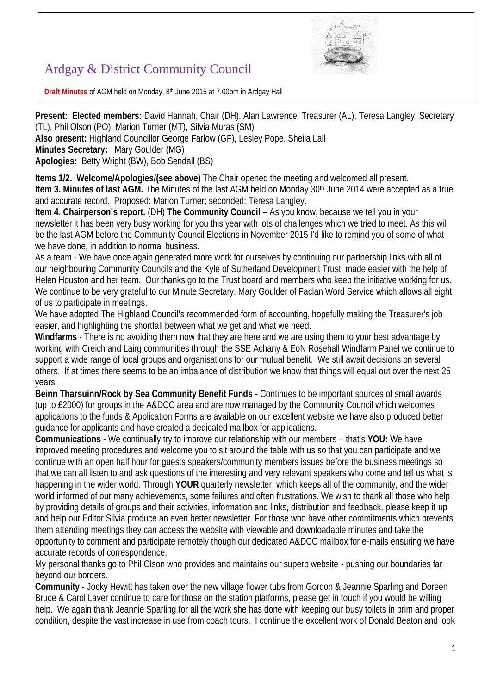

## Ardgay & District Community Council

**Draft Minutes** of AGM held on Monday, 8 th June 2015 at 7.00pm in Ardgay Hall

**Present: Elected members:** David Hannah, Chair (DH), Alan Lawrence, Treasurer (AL), Teresa Langley, Secretary (TL), Phil Olson (PO), Marion Turner (MT), Silvia Muras (SM) **Also present:** Highland Councillor George Farlow (GF), Lesley Pope, Sheila Lall

**Minutes Secretary:** Mary Goulder (MG)

**Apologies:** Betty Wright (BW), Bob Sendall (BS)

**Items 1/2. Welcome/Apologies/(see above)** The Chair opened the meeting and welcomed all present. **Item 3. Minutes of last AGM.** The Minutes of the last AGM held on Monday 30<sup>th</sup> June 2014 were accepted as a true and accurate record. Proposed: Marion Turner; seconded: Teresa Langley.

**Item 4. Chairperson's report.** (DH) **The Community Council** – As you know, because we tell you in your newsletter it has been very busy working for you this year with lots of challenges which we tried to meet. As this will be the last AGM before the Community Council Elections in November 2015 I'd like to remind you of some of what we have done, in addition to normal business.

As a team - We have once again generated more work for ourselves by continuing our partnership links with all of our neighbouring Community Councils and the Kyle of Sutherland Development Trust, made easier with the help of Helen Houston and her team. Our thanks go to the Trust board and members who keep the initiative working for us. We continue to be very grateful to our Minute Secretary, Mary Goulder of Faclan Word Service which allows all eight of us to participate in meetings.

We have adopted The Highland Council's recommended form of accounting, hopefully making the Treasurer's job easier, and highlighting the shortfall between what we get and what we need.

**Windfarms** - There is no avoiding them now that they are here and we are using them to your best advantage by working with Creich and Lairg communities through the SSE Achany & EoN Rosehall Windfarm Panel we continue to support a wide range of local groups and organisations for our mutual benefit. We still await decisions on several others. If at times there seems to be an imbalance of distribution we know that things will equal out over the next 25 years.

**Beinn Tharsuinn/Rock by Sea Community Benefit Funds -** Continues to be important sources of small awards (up to £2000) for groups in the A&DCC area and are now managed by the Community Council which welcomes applications to the funds & Application Forms are available on our excellent website we have also produced better guidance for applicants and have created a dedicated mailbox for applications.

**Communications -** We continually try to improve our relationship with our members – that's **YOU:** We have improved meeting procedures and welcome you to sit around the table with us so that you can participate and we continue with an open half hour for guests speakers/community members issues before the business meetings so that we can all listen to and ask questions of the interesting and very relevant speakers who come and tell us what is happening in the wider world. Through **YOUR** quarterly newsletter, which keeps all of the community, and the wider world informed of our many achievements, some failures and often frustrations. We wish to thank all those who help by providing details of groups and their activities, information and links, distribution and feedback, please keep it up and help our Editor Silvia produce an even better newsletter. For those who have other commitments which prevents them attending meetings they can access the website with viewable and downloadable minutes and take the opportunity to comment and participate remotely though our dedicated A&DCC mailbox for e-mails ensuring we have accurate records of correspondence.

My personal thanks go to Phil Olson who provides and maintains our superb website - pushing our boundaries far beyond our borders.

**Community -** Jocky Hewitt has taken over the new village flower tubs from Gordon & Jeannie Sparling and Doreen Bruce & Carol Laver continue to care for those on the station platforms, please get in touch if you would be willing help. We again thank Jeannie Sparling for all the work she has done with keeping our busy toilets in prim and proper condition, despite the vast increase in use from coach tours. I continue the excellent work of Donald Beaton and look